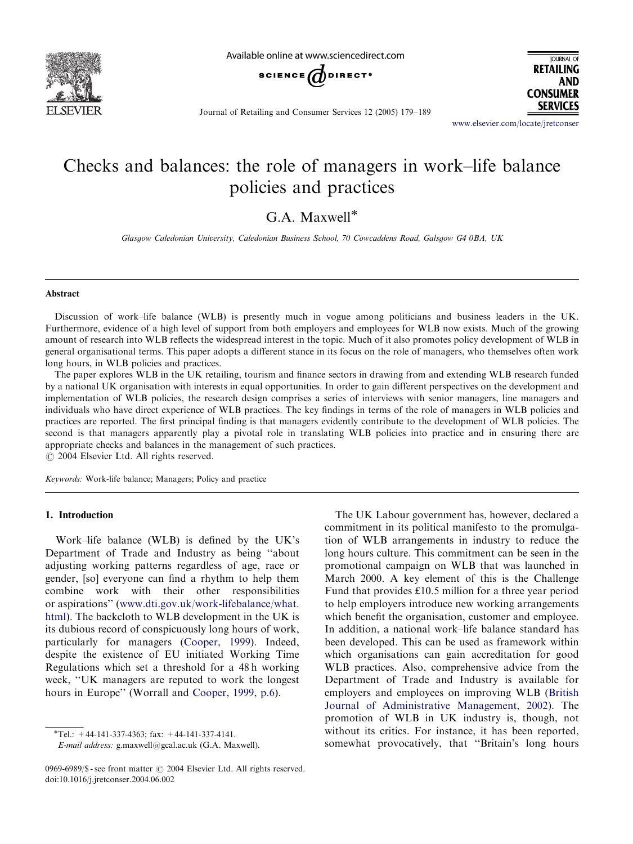

Available online at www.sciencedirect.com



**JOURNAL OF RETAILING AND CONSUMER SERVICES** 

Journal of Retailing and Consumer Services 12 (2005) 179–189

<www.elsevier.com/locate/jretconser>

# Checks and balances: the role of managers in work–life balance policies and practices

G.A. Maxwell

Glasgow Caledonian University, Caledonian Business School, 70 Cowcaddens Road, Galsgow G4 0BA, UK

#### Abstract

Discussion of work–life balance (WLB) is presently much in vogue among politicians and business leaders in the UK. Furthermore, evidence of a high level of support from both employers and employees for WLB now exists. Much of the growing amount of research into WLB reflects the widespread interest in the topic. Much of it also promotes policy development of WLB in general organisational terms. This paper adopts a different stance in its focus on the role of managers, who themselves often work long hours, in WLB policies and practices.

The paper explores WLB in the UK retailing, tourism and finance sectors in drawing from and extending WLB research funded by a national UK organisation with interests in equal opportunities. In order to gain different perspectives on the development and implementation of WLB policies, the research design comprises a series of interviews with senior managers, line managers and individuals who have direct experience of WLB practices. The key findings in terms of the role of managers in WLB policies and practices are reported. The first principal finding is that managers evidently contribute to the development of WLB policies. The second is that managers apparently play a pivotal role in translating WLB policies into practice and in ensuring there are appropriate checks and balances in the management of such practices.

 $C$  2004 Elsevier Ltd. All rights reserved.

Keywords: Work-life balance; Managers; Policy and practice

### 1. Introduction

Work–life balance (WLB) is defined by the UK's Department of Trade and Industry as being ''about adjusting working patterns regardless of age, race or gender, [so] everyone can find a rhythm to help them combine work with their other responsibilities or aspirations'' ([www.dti.gov.uk/work-lifebalance/what.](http://www.dti.gov.uk/work-lifebalance/what.html) [html](http://www.dti.gov.uk/work-lifebalance/what.html)). The backcloth to WLB development in the UK is its dubious record of conspicuously long hours of work, particularly for managers ([Cooper, 1999\)](#page--1-0). Indeed, despite the existence of EU initiated Working Time Regulations which set a threshold for a 48 h working week, ''UK managers are reputed to work the longest hours in Europe" (Worrall and [Cooper, 1999, p.6](#page--1-0)).

 $*$ Tel.: +44-141-337-4363; fax: +44-141-337-4141.

E-mail address: g.maxwell@gcal.ac.uk(G.A. Maxwell).

The UK Labour government has, however, declared a commitment in its political manifesto to the promulgation of WLB arrangements in industry to reduce the long hours culture. This commitment can be seen in the promotional campaign on WLB that was launched in March 2000. A key element of this is the Challenge Fund that provides £10.5 million for a three year period to help employers introduce new working arrangements which benefit the organisation, customer and employee. In addition, a national work–life balance standard has been developed. This can be used as framework within which organisations can gain accreditation for good WLB practices. Also, comprehensive advice from the Department of Trade and Industry is available for employers and employees on improving WLB [\(British](#page--1-0) [Journal of Administrative Management, 2002\)](#page--1-0). The promotion of WLB in UK industry is, though, not without its critics. For instance, it has been reported, somewhat provocatively, that ''Britain's long hours

<sup>0969-6989/\$ -</sup> see front matter  $\odot$  2004 Elsevier Ltd. All rights reserved. doi:10.1016/j.jretconser.2004.06.002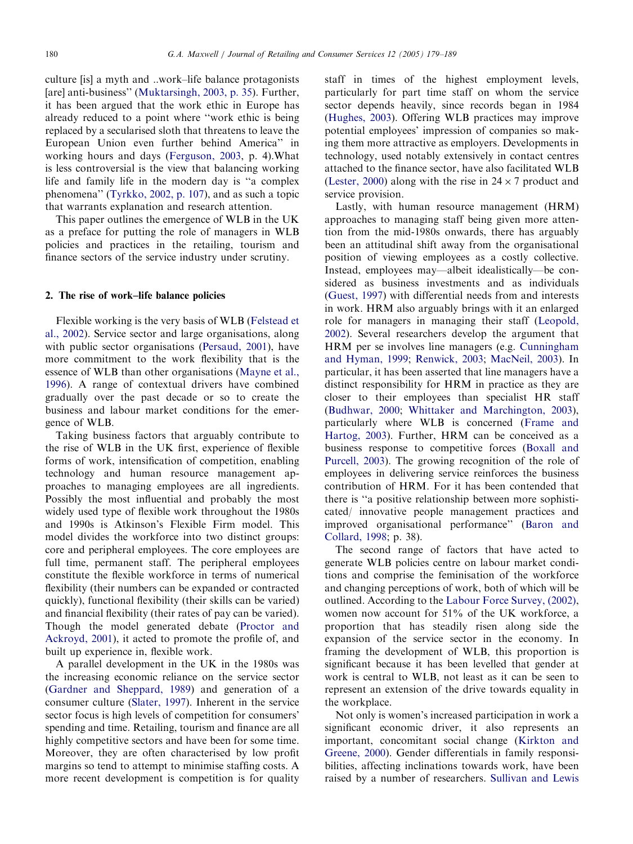culture [is] a myth and ..work–life balance protagonists [are] anti-business'' [\(Muktarsingh, 2003, p. 35](#page--1-0)). Further, it has been argued that the work ethic in Europe has already reduced to a point where "work ethic is being replaced by a secularised sloth that threatens to leave the European Union even further behind America'' in working hours and days [\(Ferguson, 2003,](#page--1-0) p. 4).What is less controversial is the view that balancing working life and family life in the modern day is ''a complex phenomena'' [\(Tyrkko, 2002, p. 107\)](#page--1-0), and as such a topic that warrants explanation and research attention.

This paper outlines the emergence of WLB in the UK as a preface for putting the role of managers in WLB policies and practices in the retailing, tourism and finance sectors of the service industry under scrutiny.

### 2. The rise of work–life balance policies

Flexible working is the very basis of WLB ([Felstead et](#page--1-0) [al., 2002](#page--1-0)). Service sector and large organisations, along with public sector organisations [\(Persaud, 2001](#page--1-0)), have more commitment to the work flexibility that is the essence of WLB than other organisations [\(Mayne et al.,](#page--1-0) [1996](#page--1-0)). A range of contextual drivers have combined gradually over the past decade or so to create the business and labour market conditions for the emergence of WLB.

Taking business factors that arguably contribute to the rise of WLB in the UK first, experience of flexible forms of work, intensification of competition, enabling technology and human resource management approaches to managing employees are all ingredients. Possibly the most influential and probably the most widely used type of flexible work throughout the 1980s and 1990s is Atkinson's Flexible Firm model. This model divides the workforce into two distinct groups: core and peripheral employees. The core employees are full time, permanent staff. The peripheral employees constitute the flexible workforce in terms of numerical flexibility (their numbers can be expanded or contracted quickly), functional flexibility (their skills can be varied) and financial flexibility (their rates of pay can be varied). Though the model generated debate ([Proctor and](#page--1-0) [Ackroyd, 2001](#page--1-0)), it acted to promote the profile of, and built up experience in, flexible work.

A parallel development in the UK in the 1980s was the increasing economic reliance on the service sector ([Gardner and Sheppard, 1989](#page--1-0)) and generation of a consumer culture ([Slater, 1997\)](#page--1-0). Inherent in the service sector focus is high levels of competition for consumers' spending and time. Retailing, tourism and finance are all highly competitive sectors and have been for some time. Moreover, they are often characterised by low profit margins so tend to attempt to minimise staffing costs. A more recent development is competition is for quality staff in times of the highest employment levels, particularly for part time staff on whom the service sector depends heavily, since records began in 1984 ([Hughes, 2003](#page--1-0)). Offering WLB practices may improve potential employees' impression of companies so making them more attractive as employers. Developments in technology, used notably extensively in contact centres attached to the finance sector, have also facilitated WLB ([Lester, 2000](#page--1-0)) along with the rise in  $24 \times 7$  product and service provision.

Lastly, with human resource management (HRM) approaches to managing staff being given more attention from the mid-1980s onwards, there has arguably been an attitudinal shift away from the organisational position of viewing employees as a costly collective. Instead, employees may—albeit idealistically—be considered as business investments and as individuals ([Guest, 1997](#page--1-0)) with differential needs from and interests in work. HRM also arguably brings with it an enlarged role for managers in managing their staff [\(Leopold,](#page--1-0) [2002](#page--1-0)). Several researchers develop the argument that HRM per se involves line managers (e.g. [Cunningham](#page--1-0) [and Hyman, 1999](#page--1-0); [Renwick, 2003;](#page--1-0) [MacNeil, 2003](#page--1-0)). In particular, it has been asserted that line managers have a distinct responsibility for HRM in practice as they are closer to their employees than specialist HR staff ([Budhwar, 2000](#page--1-0); [Whittaker and Marchington, 2003\)](#page--1-0), particularly where WLB is concerned [\(Frame and](#page--1-0) [Hartog, 2003\)](#page--1-0). Further, HRM can be conceived as a business response to competitive forces ([Boxall and](#page--1-0) [Purcell, 2003\)](#page--1-0). The growing recognition of the role of employees in delivering service reinforces the business contribution of HRM. For it has been contended that there is ''a positive relationship between more sophisticated/ innovative people management practices and improved organisational performance'' [\(Baron and](#page--1-0) [Collard, 1998;](#page--1-0) p. 38).

The second range of factors that have acted to generate WLB policies centre on labour market conditions and comprise the feminisation of the workforce and changing perceptions of work, both of which will be outlined. According to the [Labour Force Survey, \(2002\),](#page--1-0) women now account for 51% of the UK workforce, a proportion that has steadily risen along side the expansion of the service sector in the economy. In framing the development of WLB, this proportion is significant because it has been levelled that gender at work is central to WLB, not least as it can be seen to represent an extension of the drive towards equality in the workplace.

Not only is women's increased participation in worka significant economic driver, it also represents an important, concomitant social change ([Kirkton and](#page--1-0) [Greene, 2000\)](#page--1-0). Gender differentials in family responsibilities, affecting inclinations towards work, have been raised by a number of researchers. [Sullivan and Lewis](#page--1-0)